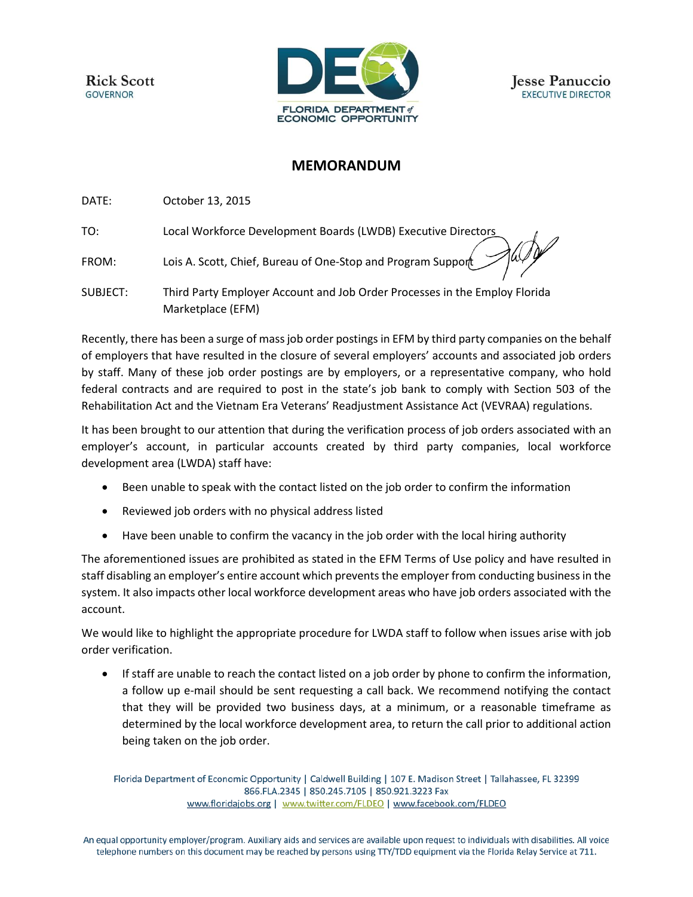**Rick Scott GOVERNOR** 



## **MEMORANDUM**

DATE: October 13, 2015

TO: Local Workforce Development Boards (LWDB) Executive Directors

FROM: Lois A. Scott, Chief, Bureau of One-Stop and Program Support

SUBJECT: Third Party Employer Account and Job Order Processes in the Employ Florida Marketplace (EFM)

Recently, there has been a surge of mass job order postings in EFM by third party companies on the behalf of employers that have resulted in the closure of several employers' accounts and associated job orders by staff. Many of these job order postings are by employers, or a representative company, who hold federal contracts and are required to post in the state's job bank to comply with Section 503 of the Rehabilitation Act and the Vietnam Era Veterans' Readjustment Assistance Act (VEVRAA) regulations.

It has been brought to our attention that during the verification process of job orders associated with an employer's account, in particular accounts created by third party companies, local workforce development area (LWDA) staff have:

- Been unable to speak with the contact listed on the job order to confirm the information
- Reviewed job orders with no physical address listed
- Have been unable to confirm the vacancy in the job order with the local hiring authority

The aforementioned issues are prohibited as stated in the EFM Terms of Use policy and have resulted in staff disabling an employer's entire account which preventsthe employer from conducting business in the system. It also impacts other local workforce development areas who have job orders associated with the account.

We would like to highlight the appropriate procedure for LWDA staff to follow when issues arise with job order verification.

 If staff are unable to reach the contact listed on a job order by phone to confirm the information, a follow up e-mail should be sent requesting a call back. We recommend notifying the contact that they will be provided two business days, at a minimum, or a reasonable timeframe as determined by the local workforce development area, to return the call prior to additional action being taken on the job order.

Florida Department of Economic Opportunity | Caldwell Building | 107 E. Madison Street | Tallahassee, FL 32399 866.FLA.2345 | 850.245.7105 | 850.921.3223 Fax www.floridajobs.org | www.twitter.com/FLDEO | www.facebook.com/FLDEO

An equal opportunity employer/program. Auxiliary aids and services are available upon request to individuals with disabilities. All voice telephone numbers on this document may be reached by persons using TTY/TDD equipment via the Florida Relay Service at 711.